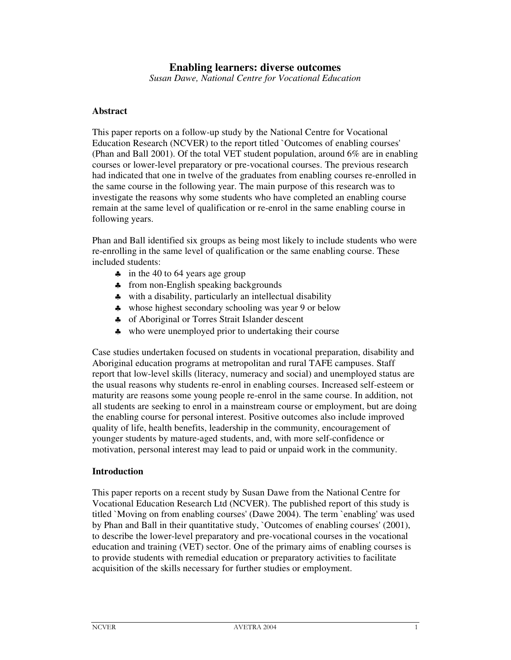# **Enabling learners: diverse outcomes**

*Susan Dawe, National Centre for Vocational Education*

## **Abstract**

This paper reports on a follow-up study by the National Centre for Vocational Education Research (NCVER) to the report titled `Outcomes of enabling courses' (Phan and Ball 2001). Of the total VET student population, around 6% are in enabling courses or lower-level preparatory or pre-vocational courses. The previous research had indicated that one in twelve of the graduates from enabling courses re-enrolled in the same course in the following year. The main purpose of this research was to investigate the reasons why some students who have completed an enabling course remain at the same level of qualification or re-enrol in the same enabling course in following years.

Phan and Ball identified six groups as being most likely to include students who were re-enrolling in the same level of qualification or the same enabling course. These included students:

- ♣ in the 40 to 64 years age group
- ♣ from non-English speaking backgrounds
- ♣ with a disability, particularly an intellectual disability
- ♣ whose highest secondary schooling was year 9 or below
- ♣ of Aboriginal or Torres Strait Islander descent
- ♣ who were unemployed prior to undertaking their course

Case studies undertaken focused on students in vocational preparation, disability and Aboriginal education programs at metropolitan and rural TAFE campuses. Staff report that low-level skills (literacy, numeracy and social) and unemployed status are the usual reasons why students re-enrol in enabling courses. Increased self-esteem or maturity are reasons some young people re-enrol in the same course. In addition, not all students are seeking to enrol in a mainstream course or employment, but are doing the enabling course for personal interest. Positive outcomes also include improved quality of life, health benefits, leadership in the community, encouragement of younger students by mature-aged students, and, with more self-confidence or motivation, personal interest may lead to paid or unpaid work in the community.

#### **Introduction**

This paper reports on a recent study by Susan Dawe from the National Centre for Vocational Education Research Ltd (NCVER). The published report of this study is titled `Moving on from enabling courses' (Dawe 2004). The term `enabling' was used by Phan and Ball in their quantitative study, `Outcomes of enabling courses' (2001), to describe the lower-level preparatory and pre-vocational courses in the vocational education and training (VET) sector. One of the primary aims of enabling courses is to provide students with remedial education or preparatory activities to facilitate acquisition of the skills necessary for further studies or employment.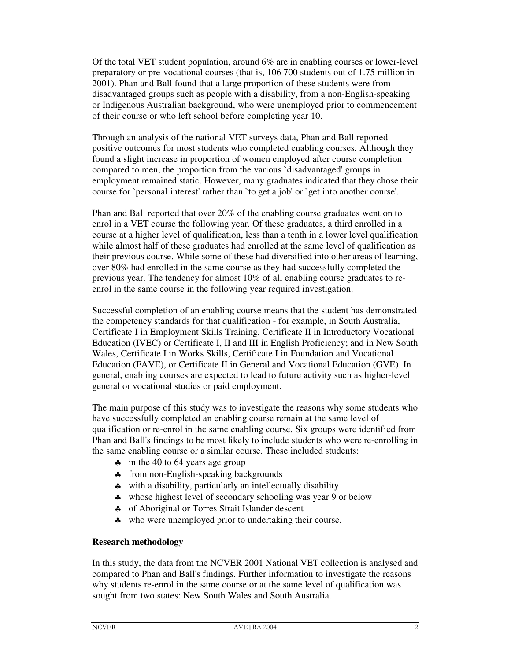Of the total VET student population, around 6% are in enabling courses or lower-level preparatory or pre-vocational courses (that is, 106 700 students out of 1.75 million in 2001). Phan and Ball found that a large proportion of these students were from disadvantaged groups such as people with a disability, from a non-English-speaking or Indigenous Australian background, who were unemployed prior to commencement of their course or who left school before completing year 10.

Through an analysis of the national VET surveys data, Phan and Ball reported positive outcomes for most students who completed enabling courses. Although they found a slight increase in proportion of women employed after course completion compared to men, the proportion from the various `disadvantaged' groups in employment remained static. However, many graduates indicated that they chose their course for `personal interest' rather than `to get a job' or `get into another course'.

Phan and Ball reported that over 20% of the enabling course graduates went on to enrol in a VET course the following year. Of these graduates, a third enrolled in a course at a higher level of qualification, less than a tenth in a lower level qualification while almost half of these graduates had enrolled at the same level of qualification as their previous course. While some of these had diversified into other areas of learning, over 80% had enrolled in the same course as they had successfully completed the previous year. The tendency for almost 10% of all enabling course graduates to reenrol in the same course in the following year required investigation.

Successful completion of an enabling course means that the student has demonstrated the competency standards for that qualification - for example, in South Australia, Certificate I in Employment Skills Training, Certificate II in Introductory Vocational Education (IVEC) or Certificate I, II and III in English Proficiency; and in New South Wales, Certificate I in Works Skills, Certificate I in Foundation and Vocational Education (FAVE), or Certificate II in General and Vocational Education (GVE). In general, enabling courses are expected to lead to future activity such as higher-level general or vocational studies or paid employment.

The main purpose of this study was to investigate the reasons why some students who have successfully completed an enabling course remain at the same level of qualification or re-enrol in the same enabling course. Six groups were identified from Phan and Ball's findings to be most likely to include students who were re-enrolling in the same enabling course or a similar course. These included students:

- ♣ in the 40 to 64 years age group
- ♣ from non-English-speaking backgrounds
- ♣ with a disability, particularly an intellectually disability
- ♣ whose highest level of secondary schooling was year 9 or below
- ♣ of Aboriginal or Torres Strait Islander descent
- ♣ who were unemployed prior to undertaking their course.

## **Research methodology**

In this study, the data from the NCVER 2001 National VET collection is analysed and compared to Phan and Ball's findings. Further information to investigate the reasons why students re-enrol in the same course or at the same level of qualification was sought from two states: New South Wales and South Australia.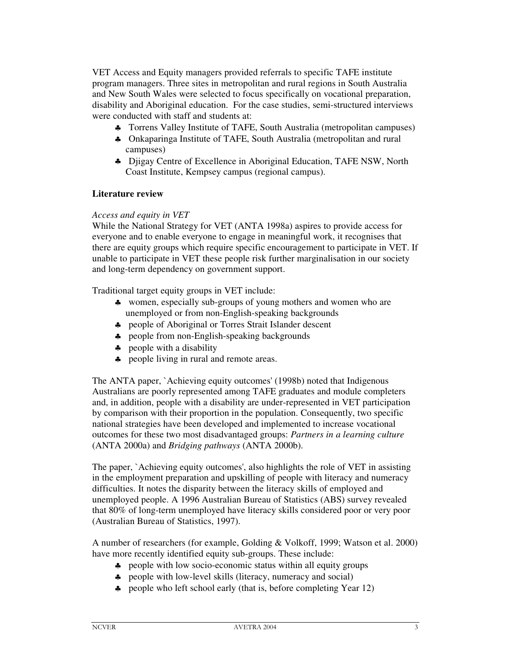VET Access and Equity managers provided referrals to specific TAFE institute program managers. Three sites in metropolitan and rural regions in South Australia and New South Wales were selected to focus specifically on vocational preparation, disability and Aboriginal education. For the case studies, semi-structured interviews were conducted with staff and students at:

- ♣ Torrens Valley Institute of TAFE, South Australia (metropolitan campuses)
- ♣ Onkaparinga Institute of TAFE, South Australia (metropolitan and rural campuses)
- ♣ Djigay Centre of Excellence in Aboriginal Education, TAFE NSW, North Coast Institute, Kempsey campus (regional campus).

## **Literature review**

### *Access and equity in VET*

While the National Strategy for VET (ANTA 1998a) aspires to provide access for everyone and to enable everyone to engage in meaningful work, it recognises that there are equity groups which require specific encouragement to participate in VET. If unable to participate in VET these people risk further marginalisation in our society and long-term dependency on government support.

Traditional target equity groups in VET include:

- ♣ women, especially sub-groups of young mothers and women who are unemployed or from non-English-speaking backgrounds
- ♣ people of Aboriginal or Torres Strait Islander descent
- ♣ people from non-English-speaking backgrounds
- ♣ people with a disability
- ♣ people living in rural and remote areas.

The ANTA paper, `Achieving equity outcomes' (1998b) noted that Indigenous Australians are poorly represented among TAFE graduates and module completers and, in addition, people with a disability are under-represented in VET participation by comparison with their proportion in the population. Consequently, two specific national strategies have been developed and implemented to increase vocational outcomes for these two most disadvantaged groups: *Partners in a learning culture* (ANTA 2000a) and *Bridging pathways* (ANTA 2000b).

The paper, `Achieving equity outcomes', also highlights the role of VET in assisting in the employment preparation and upskilling of people with literacy and numeracy difficulties. It notes the disparity between the literacy skills of employed and unemployed people. A 1996 Australian Bureau of Statistics (ABS) survey revealed that 80% of long-term unemployed have literacy skills considered poor or very poor (Australian Bureau of Statistics, 1997).

A number of researchers (for example, Golding & Volkoff, 1999; Watson et al. 2000) have more recently identified equity sub-groups. These include:

- ♣ people with low socio-economic status within all equity groups
- ♣ people with low-level skills (literacy, numeracy and social)
- ♣ people who left school early (that is, before completing Year 12)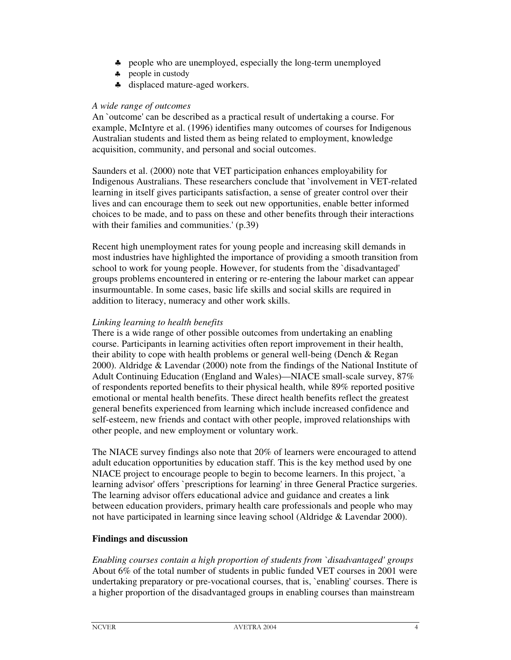- ♣ people who are unemployed, especially the long-term unemployed
- ♣ people in custody
- ♣ displaced mature-aged workers.

### *A wide range of outcomes*

An `outcome' can be described as a practical result of undertaking a course. For example, McIntyre et al. (1996) identifies many outcomes of courses for Indigenous Australian students and listed them as being related to employment, knowledge acquisition, community, and personal and social outcomes.

Saunders et al. (2000) note that VET participation enhances employability for Indigenous Australians. These researchers conclude that `involvement in VET-related learning in itself gives participants satisfaction, a sense of greater control over their lives and can encourage them to seek out new opportunities, enable better informed choices to be made, and to pass on these and other benefits through their interactions with their families and communities.' (p.39)

Recent high unemployment rates for young people and increasing skill demands in most industries have highlighted the importance of providing a smooth transition from school to work for young people. However, for students from the `disadvantaged' groups problems encountered in entering or re-entering the labour market can appear insurmountable. In some cases, basic life skills and social skills are required in addition to literacy, numeracy and other work skills.

# *Linking learning to health benefits*

There is a wide range of other possible outcomes from undertaking an enabling course. Participants in learning activities often report improvement in their health, their ability to cope with health problems or general well-being (Dench & Regan 2000). Aldridge & Lavendar (2000) note from the findings of the National Institute of Adult Continuing Education (England and Wales)—NIACE small-scale survey, 87% of respondents reported benefits to their physical health, while 89% reported positive emotional or mental health benefits. These direct health benefits reflect the greatest general benefits experienced from learning which include increased confidence and self-esteem, new friends and contact with other people, improved relationships with other people, and new employment or voluntary work.

The NIACE survey findings also note that 20% of learners were encouraged to attend adult education opportunities by education staff. This is the key method used by one NIACE project to encourage people to begin to become learners. In this project, `a learning advisor' offers `prescriptions for learning' in three General Practice surgeries. The learning advisor offers educational advice and guidance and creates a link between education providers, primary health care professionals and people who may not have participated in learning since leaving school (Aldridge & Lavendar 2000).

# **Findings and discussion**

*Enabling courses contain a high proportion of students from `disadvantaged' groups* About 6% of the total number of students in public funded VET courses in 2001 were undertaking preparatory or pre-vocational courses, that is, `enabling' courses. There is a higher proportion of the disadvantaged groups in enabling courses than mainstream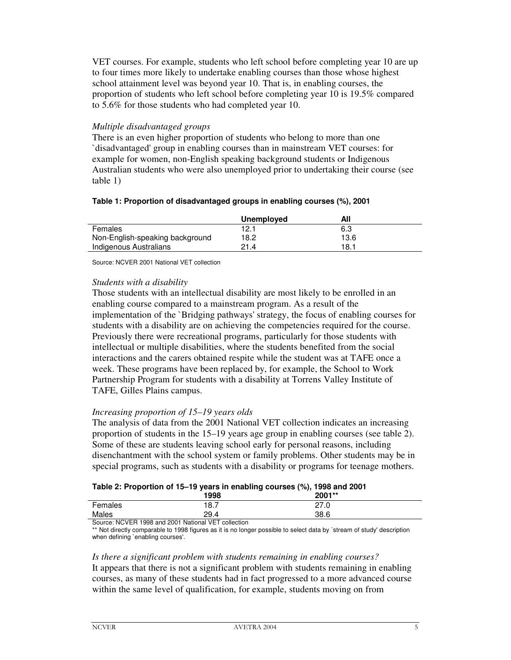VET courses. For example, students who left school before completing year 10 are up to four times more likely to undertake enabling courses than those whose highest school attainment level was beyond year 10. That is, in enabling courses, the proportion of students who left school before completing year 10 is 19.5% compared to 5.6% for those students who had completed year 10.

## *Multiple disadvantaged groups*

There is an even higher proportion of students who belong to more than one `disadvantaged' group in enabling courses than in mainstream VET courses: for example for women, non-English speaking background students or Indigenous Australian students who were also unemployed prior to undertaking their course (see table 1)

### **Table 1: Proportion of disadvantaged groups in enabling courses (%), 2001**

|                                 | Unemployed | All  |  |
|---------------------------------|------------|------|--|
| Females                         | 12.1       | 6.3  |  |
| Non-English-speaking background | 18.2       | 13.6 |  |
| Indigenous Australians          | 21.4       | 18.1 |  |

Source: NCVER 2001 National VET collection

## *Students with a disability*

Those students with an intellectual disability are most likely to be enrolled in an enabling course compared to a mainstream program. As a result of the implementation of the `Bridging pathways' strategy, the focus of enabling courses for students with a disability are on achieving the competencies required for the course. Previously there were recreational programs, particularly for those students with intellectual or multiple disabilities, where the students benefited from the social interactions and the carers obtained respite while the student was at TAFE once a week. These programs have been replaced by, for example, the School to Work Partnership Program for students with a disability at Torrens Valley Institute of TAFE, Gilles Plains campus.

## *Increasing proportion of 15–19 years olds*

The analysis of data from the 2001 National VET collection indicates an increasing proportion of students in the 15–19 years age group in enabling courses (see table 2). Some of these are students leaving school early for personal reasons, including disenchantment with the school system or family problems. Other students may be in special programs, such as students with a disability or programs for teenage mothers.

|  |  |  | Table 2: Proportion of 15-19 years in enabling courses (%), 1998 and 2001 |
|--|--|--|---------------------------------------------------------------------------|
|--|--|--|---------------------------------------------------------------------------|

| ___     | 1998                                                | 2001** |  |
|---------|-----------------------------------------------------|--------|--|
| Females | 18.7                                                | 27.0   |  |
| Males   | 29.4                                                | 38.6   |  |
|         | Course: NOVED 1000 and 0001 Notional VET collection |        |  |

Source: NCVER 1998 and 2001 National VET collection

\*\* Not directly comparable to 1998 figures as it is no longer possible to select data by `stream of study' description when defining `enabling courses'.

#### *Is there a significant problem with students remaining in enabling courses?*

It appears that there is not a significant problem with students remaining in enabling courses, as many of these students had in fact progressed to a more advanced course within the same level of qualification, for example, students moving on from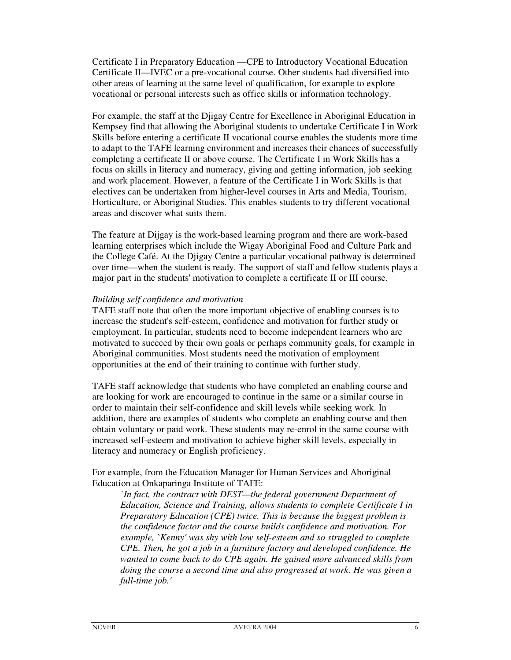Certificate I in Preparatory Education —CPE to Introductory Vocational Education Certificate II—IVEC or a pre-vocational course. Other students had diversified into other areas of learning at the same level of qualification, for example to explore vocational or personal interests such as office skills or information technology.

For example, the staff at the Djigay Centre for Excellence in Aboriginal Education in Kempsey find that allowing the Aboriginal students to undertake Certificate I in Work Skills before entering a certificate II vocational course enables the students more time to adapt to the TAFE learning environment and increases their chances of successfully completing a certificate II or above course. The Certificate I in Work Skills has a focus on skills in literacy and numeracy, giving and getting information, job seeking and work placement. However, a feature of the Certificate I in Work Skills is that electives can be undertaken from higher-level courses in Arts and Media, Tourism, Horticulture, or Aboriginal Studies. This enables students to try different vocational areas and discover what suits them.

The feature at Dijgay is the work-based learning program and there are work-based learning enterprises which include the Wigay Aboriginal Food and Culture Park and the College Café. At the Djigay Centre a particular vocational pathway is determined over time—when the student is ready. The support of staff and fellow students plays a major part in the students' motivation to complete a certificate II or III course.

### *Building self confidence and motivation*

TAFE staff note that often the more important objective of enabling courses is to increase the student's self-esteem, confidence and motivation for further study or employment. In particular, students need to become independent learners who are motivated to succeed by their own goals or perhaps community goals, for example in Aboriginal communities. Most students need the motivation of employment opportunities at the end of their training to continue with further study.

TAFE staff acknowledge that students who have completed an enabling course and are looking for work are encouraged to continue in the same or a similar course in order to maintain their self-confidence and skill levels while seeking work. In addition, there are examples of students who complete an enabling course and then obtain voluntary or paid work. These students may re-enrol in the same course with increased self-esteem and motivation to achieve higher skill levels, especially in literacy and numeracy or English proficiency.

For example, from the Education Manager for Human Services and Aboriginal Education at Onkaparinga Institute of TAFE:

*`In fact, the contract with DEST—the federal government Department of Education, Science and Training, allows students to complete Certificate I in Preparatory Education (CPE) twice. This is because the biggest problem is the confidence factor and the course builds confidence and motivation. For example, `Kenny' was shy with low self-esteem and so struggled to complete CPE. Then, he got a job in a furniture factory and developed confidence. He wanted to come back to do CPE again. He gained more advanced skills from doing the course a second time and also progressed at work. He was given a full-time job.'*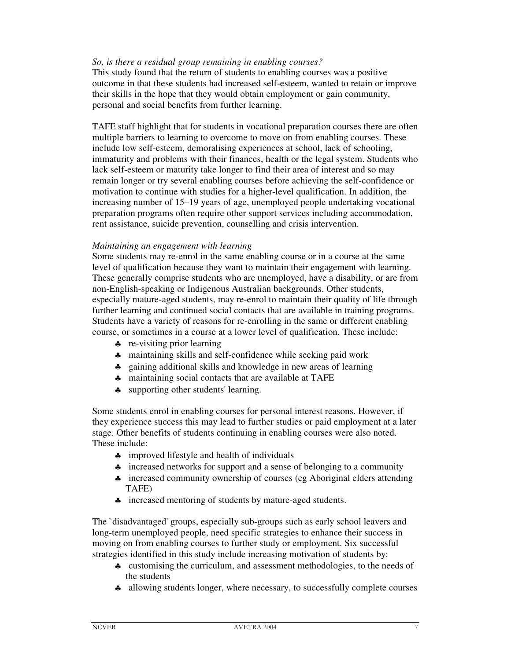## *So, is there a residual group remaining in enabling courses?*

This study found that the return of students to enabling courses was a positive outcome in that these students had increased self-esteem, wanted to retain or improve their skills in the hope that they would obtain employment or gain community, personal and social benefits from further learning.

TAFE staff highlight that for students in vocational preparation courses there are often multiple barriers to learning to overcome to move on from enabling courses. These include low self-esteem, demoralising experiences at school, lack of schooling, immaturity and problems with their finances, health or the legal system. Students who lack self-esteem or maturity take longer to find their area of interest and so may remain longer or try several enabling courses before achieving the self-confidence or motivation to continue with studies for a higher-level qualification. In addition, the increasing number of 15–19 years of age, unemployed people undertaking vocational preparation programs often require other support services including accommodation, rent assistance, suicide prevention, counselling and crisis intervention.

### *Maintaining an engagement with learning*

Some students may re-enrol in the same enabling course or in a course at the same level of qualification because they want to maintain their engagement with learning. These generally comprise students who are unemployed, have a disability, or are from non-English-speaking or Indigenous Australian backgrounds. Other students, especially mature-aged students, may re-enrol to maintain their quality of life through further learning and continued social contacts that are available in training programs. Students have a variety of reasons for re-enrolling in the same or different enabling course, or sometimes in a course at a lower level of qualification. These include:

- ♣ re-visiting prior learning
- ♣ maintaining skills and self-confidence while seeking paid work
- ♣ gaining additional skills and knowledge in new areas of learning
- ♣ maintaining social contacts that are available at TAFE
- ♣ supporting other students' learning.

Some students enrol in enabling courses for personal interest reasons. However, if they experience success this may lead to further studies or paid employment at a later stage. Other benefits of students continuing in enabling courses were also noted. These include:

- ♣ improved lifestyle and health of individuals
- ♣ increased networks for support and a sense of belonging to a community
- ♣ increased community ownership of courses (eg Aboriginal elders attending TAFE)
- ♣ increased mentoring of students by mature-aged students.

The `disadvantaged' groups, especially sub-groups such as early school leavers and long-term unemployed people, need specific strategies to enhance their success in moving on from enabling courses to further study or employment. Six successful strategies identified in this study include increasing motivation of students by:

- ♣ customising the curriculum, and assessment methodologies, to the needs of the students
- ♣ allowing students longer, where necessary, to successfully complete courses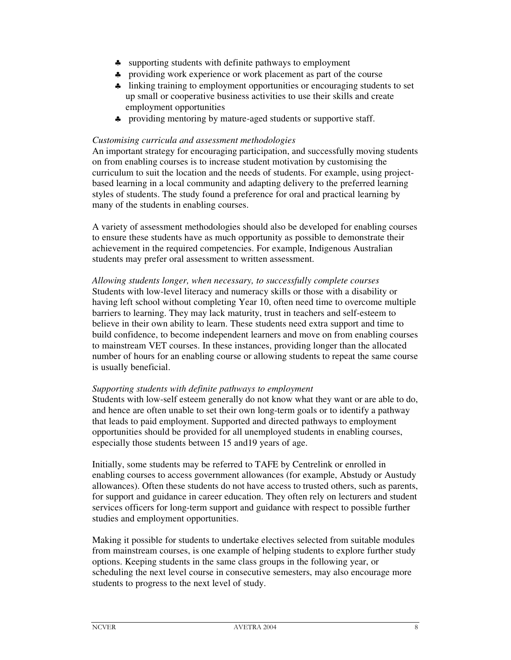- ♣ supporting students with definite pathways to employment
- ♣ providing work experience or work placement as part of the course
- ♣ linking training to employment opportunities or encouraging students to set up small or cooperative business activities to use their skills and create employment opportunities
- ♣ providing mentoring by mature-aged students or supportive staff.

## *Customising curricula and assessment methodologies*

An important strategy for encouraging participation, and successfully moving students on from enabling courses is to increase student motivation by customising the curriculum to suit the location and the needs of students. For example, using projectbased learning in a local community and adapting delivery to the preferred learning styles of students. The study found a preference for oral and practical learning by many of the students in enabling courses.

A variety of assessment methodologies should also be developed for enabling courses to ensure these students have as much opportunity as possible to demonstrate their achievement in the required competencies. For example, Indigenous Australian students may prefer oral assessment to written assessment.

*Allowing students longer, when necessary, to successfully complete courses* Students with low-level literacy and numeracy skills or those with a disability or having left school without completing Year 10, often need time to overcome multiple barriers to learning. They may lack maturity, trust in teachers and self-esteem to believe in their own ability to learn. These students need extra support and time to build confidence, to become independent learners and move on from enabling courses to mainstream VET courses. In these instances, providing longer than the allocated number of hours for an enabling course or allowing students to repeat the same course is usually beneficial.

## *Supporting students with definite pathways to employment*

Students with low-self esteem generally do not know what they want or are able to do, and hence are often unable to set their own long-term goals or to identify a pathway that leads to paid employment. Supported and directed pathways to employment opportunities should be provided for all unemployed students in enabling courses, especially those students between 15 and19 years of age.

Initially, some students may be referred to TAFE by Centrelink or enrolled in enabling courses to access government allowances (for example, Abstudy or Austudy allowances). Often these students do not have access to trusted others, such as parents, for support and guidance in career education. They often rely on lecturers and student services officers for long-term support and guidance with respect to possible further studies and employment opportunities.

Making it possible for students to undertake electives selected from suitable modules from mainstream courses, is one example of helping students to explore further study options. Keeping students in the same class groups in the following year, or scheduling the next level course in consecutive semesters, may also encourage more students to progress to the next level of study.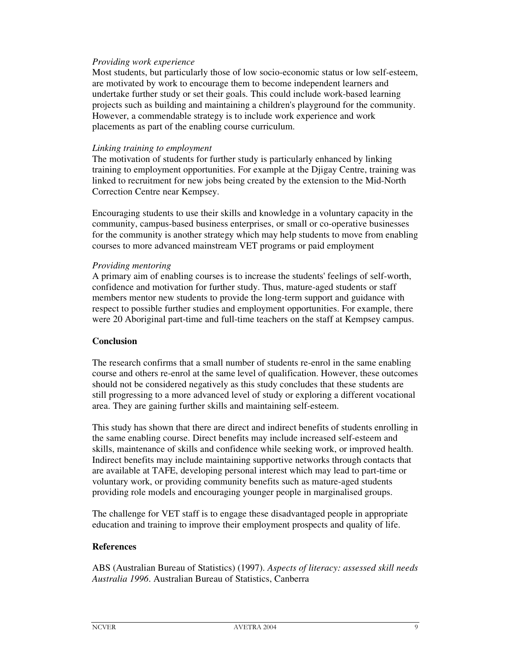## *Providing work experience*

Most students, but particularly those of low socio-economic status or low self-esteem, are motivated by work to encourage them to become independent learners and undertake further study or set their goals. This could include work-based learning projects such as building and maintaining a children's playground for the community. However, a commendable strategy is to include work experience and work placements as part of the enabling course curriculum.

### *Linking training to employment*

The motivation of students for further study is particularly enhanced by linking training to employment opportunities. For example at the Djigay Centre, training was linked to recruitment for new jobs being created by the extension to the Mid-North Correction Centre near Kempsey.

Encouraging students to use their skills and knowledge in a voluntary capacity in the community, campus-based business enterprises, or small or co-operative businesses for the community is another strategy which may help students to move from enabling courses to more advanced mainstream VET programs or paid employment

#### *Providing mentoring*

A primary aim of enabling courses is to increase the students' feelings of self-worth, confidence and motivation for further study. Thus, mature-aged students or staff members mentor new students to provide the long-term support and guidance with respect to possible further studies and employment opportunities. For example, there were 20 Aboriginal part-time and full-time teachers on the staff at Kempsey campus.

## **Conclusion**

The research confirms that a small number of students re-enrol in the same enabling course and others re-enrol at the same level of qualification. However, these outcomes should not be considered negatively as this study concludes that these students are still progressing to a more advanced level of study or exploring a different vocational area. They are gaining further skills and maintaining self-esteem.

This study has shown that there are direct and indirect benefits of students enrolling in the same enabling course. Direct benefits may include increased self-esteem and skills, maintenance of skills and confidence while seeking work, or improved health. Indirect benefits may include maintaining supportive networks through contacts that are available at TAFE, developing personal interest which may lead to part-time or voluntary work, or providing community benefits such as mature-aged students providing role models and encouraging younger people in marginalised groups.

The challenge for VET staff is to engage these disadvantaged people in appropriate education and training to improve their employment prospects and quality of life.

# **References**

ABS (Australian Bureau of Statistics) (1997). *Aspects of literacy: assessed skill needs Australia 1996*. Australian Bureau of Statistics, Canberra